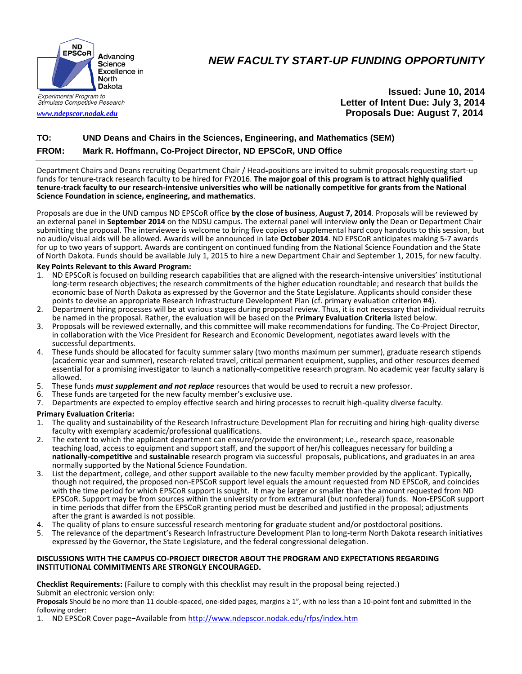

## *NEW FACULTY START-UP FUNDING OPPORTUNITY*

**Issued: June 10, 2014** **Letter of Intent Due: July 3, 2014** *[www.ndepscor.nodak.edu](http://www.ndepscor.nodak.edu/)* **Proposals Due: August 7, 2014**

### **TO: UND Deans and Chairs in the Sciences, Engineering, and Mathematics (SEM) FROM: Mark R. Hoffmann, Co-Project Director, ND EPSCoR, UND Office**

Department Chairs and Deans recruiting Department Chair / Head-positions are invited to submit proposals requesting start-up funds for tenure-track research faculty to be hired for FY2016. **The major goal of this program is to attract highly qualified tenure-track faculty to our research-intensive universities who will be nationally competitive for grants from the National Science Foundation in science, engineering, and mathematics**.

Proposals are due in the UND campus ND EPSCoR office **by the close of business**, **August 7, 2014**. Proposals will be reviewed by an external panel in **September 2014** on the NDSU campus. The external panel will interview **only** the Dean or Department Chair submitting the proposal. The interviewee is welcome to bring five copies of supplemental hard copy handouts to this session, but no audio/visual aids will be allowed. Awards will be announced in late **October 2014**. ND EPSCoR anticipates making 5-7 awards for up to two years of support. Awards are contingent on continued funding from the National Science Foundation and the State of North Dakota. Funds should be available July 1, 2015 to hire a new Department Chair and September 1, 2015, for new faculty.

#### **Key Points Relevant to this Award Program:**

- 1. ND EPSCoR is focused on building research capabilities that are aligned with the research-intensive universities' institutional long-term research objectives; the research commitments of the higher education roundtable; and research that builds the economic base of North Dakota as expressed by the Governor and the State Legislature. Applicants should consider these points to devise an appropriate Research Infrastructure Development Plan (cf. primary evaluation criterion #4).
- 2. Department hiring processes will be at various stages during proposal review. Thus, it is not necessary that individual recruits be named in the proposal. Rather, the evaluation will be based on the **Primary Evaluation Criteria** listed below.
- 3. Proposals will be reviewed externally, and this committee will make recommendations for funding. The Co-Project Director, in collaboration with the Vice President for Research and Economic Development, negotiates award levels with the successful departments.
- 4. These funds should be allocated for faculty summer salary (two months maximum per summer), graduate research stipends (academic year and summer), research-related travel, critical permanent equipment, supplies, and other resources deemed essential for a promising investigator to launch a nationally-competitive research program. No academic year faculty salary is allowed.
- 5. These funds *must supplement and not replace* resources that would be used to recruit a new professor.
- These funds are targeted for the new faculty member's exclusive use.
- 7. Departments are expected to employ effective search and hiring processes to recruit high-quality diverse faculty.

# **Primary Evaluation Criteria:**<br>1 The quality and sustaina

- 1. The quality and sustainability of the Research Infrastructure Development Plan for recruiting and hiring high-quality diverse faculty with exemplary academic/professional qualifications.
- 2. The extent to which the applicant department can ensure/provide the environment; i.e., research space, reasonable teaching load, access to equipment and support staff, and the support of her/his colleagues necessary for building a **nationally-competitive** and **sustainable** research program via successful proposals, publications, and graduates in an area normally supported by the National Science Foundation.
- 3. List the department, college, and other support available to the new faculty member provided by the applicant. Typically, though not required, the proposed non-EPSCoR support level equals the amount requested from ND EPSCoR, and coincides with the time period for which EPSCoR support is sought. It may be larger or smaller than the amount requested from ND EPSCoR. Support may be from sources within the university or from extramural (but nonfederal) funds. Non-EPSCoR support in time periods that differ from the EPSCoR granting period must be described and justified in the proposal; adjustments after the grant is awarded is not possible.
- 4. The quality of plans to ensure successful research mentoring for graduate student and/or postdoctoral positions.<br>5. The relevance of the department's Research Infrastructure Development Plan to long-term North Dakota re
- 5. The relevance of the department's Research Infrastructure Development Plan to long-term North Dakota research initiatives expressed by the Governor, the State Legislature, and the federal congressional delegation.

#### **DISCUSSIONS WITH THE CAMPUS CO-PROJECT DIRECTOR ABOUT THE PROGRAM AND EXPECTATIONS REGARDING INSTITUTIONAL COMMITMENTS ARE STRONGLY ENCOURAGED.**

**Checklist Requirements:** (Failure to comply with this checklist may result in the proposal being rejected.) Submit an electronic version only:

**Proposals** Should be no more than 11 double-spaced, one-sided pages, margins ≥ 1", with no less than a 10-point font and submitted in the following order:

1. ND EPSCoR Cover page−Available from <http://www.ndepscor.nodak.edu/rfps/index.htm>